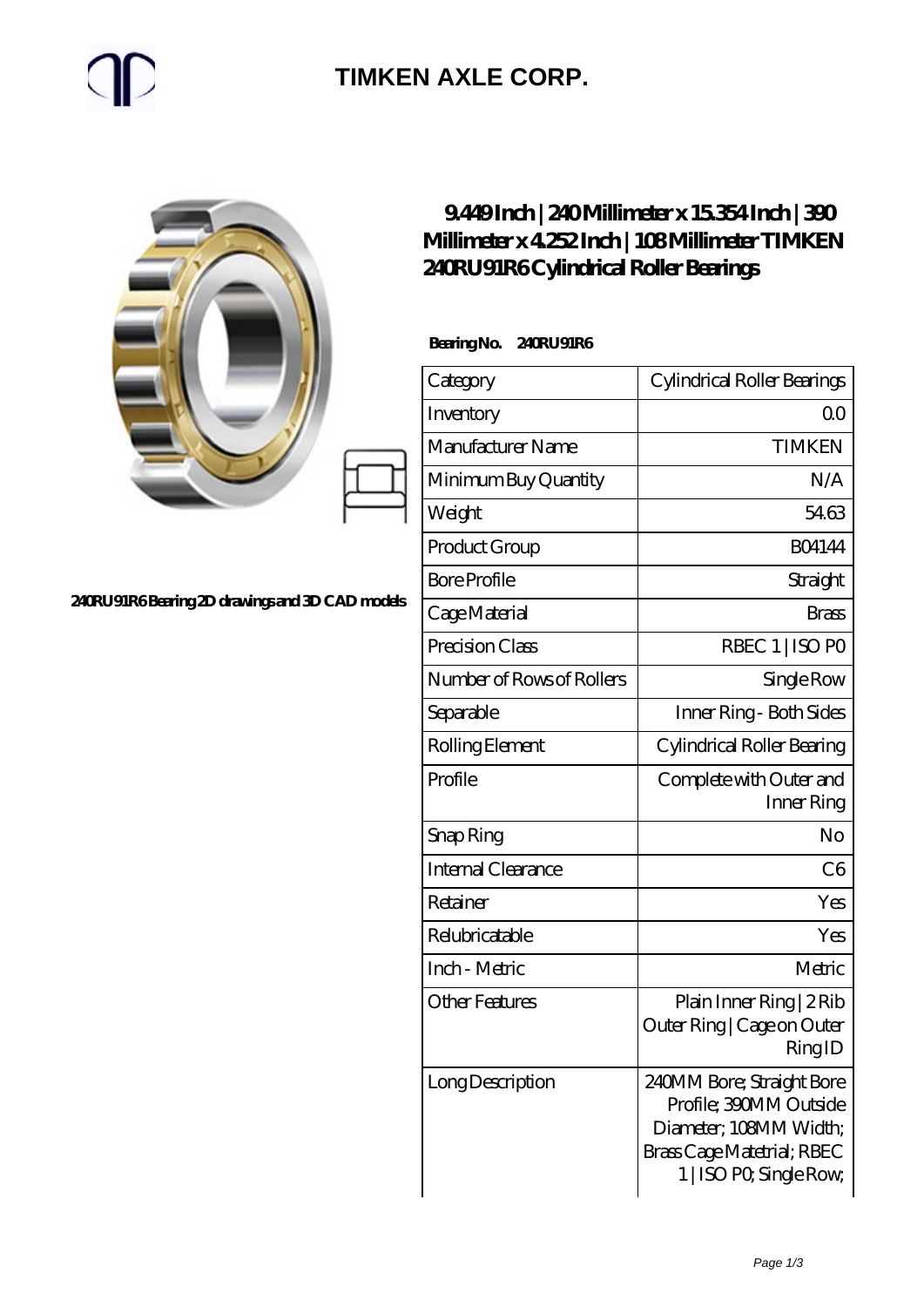## $\mathbb{P}$

### **[TIMKEN AXLE CORP.](https://m.rapidsurfing.net)**

|                                                | 9449Inch   240Millimeter x 15354Inch   300<br>Millimeter x 4252 Inch   108 Millimeter TIMKEN<br>240RU91R6Cylindrical Roller Bearings |                                                                                                                                        |
|------------------------------------------------|--------------------------------------------------------------------------------------------------------------------------------------|----------------------------------------------------------------------------------------------------------------------------------------|
|                                                | BearingNo.<br>240RU91R6                                                                                                              |                                                                                                                                        |
|                                                | Category                                                                                                                             | Cylindrical Roller Bearings                                                                                                            |
|                                                | Inventory                                                                                                                            | 0 <sub>0</sub>                                                                                                                         |
|                                                | Manufacturer Name                                                                                                                    | <b>TIMKEN</b>                                                                                                                          |
|                                                | Minimum Buy Quantity                                                                                                                 | N/A                                                                                                                                    |
|                                                | Weight                                                                                                                               | 5463                                                                                                                                   |
|                                                | Product Group                                                                                                                        | <b>BO4144</b>                                                                                                                          |
|                                                | <b>Bore Profile</b>                                                                                                                  | Straight                                                                                                                               |
| 240RU91R6Bearing 2D drawings and 3D CAD models | Cage Material                                                                                                                        | <b>Brass</b>                                                                                                                           |
|                                                | Precision Class                                                                                                                      | RBEC 1   ISO PO                                                                                                                        |
|                                                | Number of Rows of Rollers                                                                                                            | Single Row                                                                                                                             |
|                                                | Separable                                                                                                                            | Inner Ring - Both Sides                                                                                                                |
|                                                | Rolling Element                                                                                                                      | Cylindrical Roller Bearing                                                                                                             |
|                                                | Profile                                                                                                                              | Complete with Outer and<br>Inner Ring                                                                                                  |
|                                                | Snap Ring                                                                                                                            | N <sub>o</sub>                                                                                                                         |
|                                                | Internal Clearance                                                                                                                   | C6                                                                                                                                     |
|                                                | Retainer                                                                                                                             | Yes                                                                                                                                    |
|                                                | Relubricatable                                                                                                                       | Yes                                                                                                                                    |
|                                                | Inch - Metric                                                                                                                        | Metric                                                                                                                                 |
|                                                | <b>Other Features</b>                                                                                                                | Plain Inner Ring   2 Rib<br>Outer Ring   Cage on Outer<br>RingID                                                                       |
|                                                | Long Description                                                                                                                     | 240MM Bore; Straight Bore<br>Profile; 390MM Outside<br>Diameter; 108MM Width;<br>Brass Cage Matetrial; RBEC<br>1   ISO PO, Single Row, |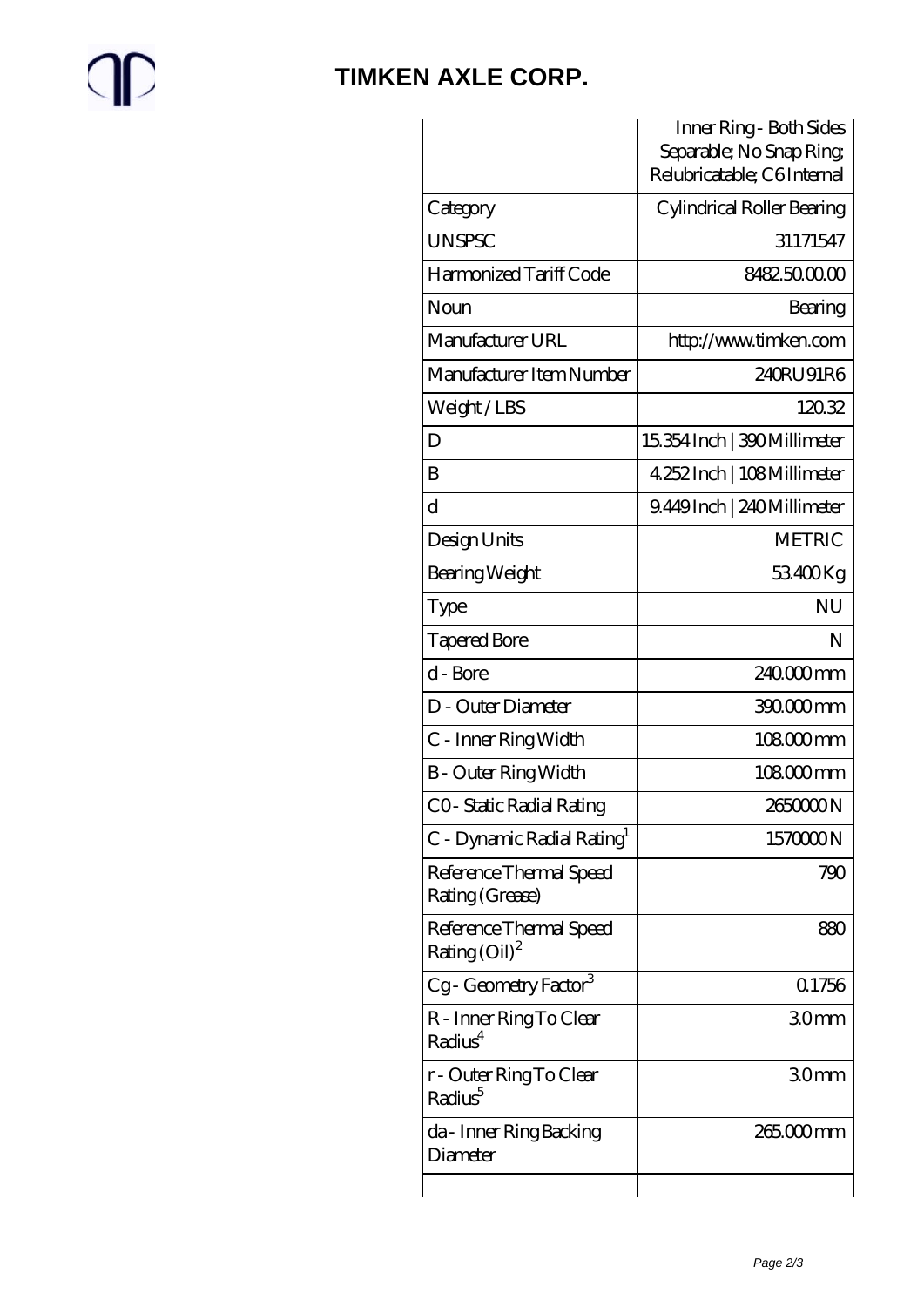# $\mathbb{C}$

#### **[TIMKEN AXLE CORP.](https://m.rapidsurfing.net)**

|                                                               | Inner Ring - Both Sides<br>Separable; No Snap Ring<br>Relubricatable; C6Internal |
|---------------------------------------------------------------|----------------------------------------------------------------------------------|
| Category                                                      | Cylindrical Roller Bearing                                                       |
| <b>UNSPSC</b>                                                 | 31171547                                                                         |
| Harmonized Tariff Code                                        | 8482500000                                                                       |
| Noun                                                          | Bearing                                                                          |
| Manufacturer URL                                              | http://www.timken.com                                                            |
| Manufacturer Item Number                                      | 240RU91R6                                                                        |
| Weight/LBS                                                    | 12032                                                                            |
| D                                                             | 15.354 Inch   390 Millimeter                                                     |
| B                                                             | 4.252 Inch   108 Millimeter                                                      |
| $\rm d$                                                       | 9.449Inch   240Millimeter                                                        |
| Design Units                                                  | <b>METRIC</b>                                                                    |
| Bearing Weight                                                | 53400Kg                                                                          |
| Type                                                          | <b>NU</b>                                                                        |
| <b>Tapered Bore</b>                                           | N                                                                                |
| d - Bore                                                      | 240000mm                                                                         |
| D - Outer Diameter                                            | 390.000 mm                                                                       |
| C - Inner Ring Width                                          | 108000mm                                                                         |
| <b>B</b> - Outer Ring Width                                   | $108000$ mm                                                                      |
| CO- Static Radial Rating                                      | 265000N                                                                          |
| C - Dynamic Radial Rating <sup>1</sup>                        | 1570000N                                                                         |
| Reference Thermal Speed<br>Rating (Grease)                    | 790                                                                              |
| Reference Thermal Speed<br>Rating $\left(\text{Oil}\right)^2$ | 880                                                                              |
| Cg-Geometry Factor <sup>3</sup>                               | 0.1756                                                                           |
| R - Inner Ring To Clear<br>Radius <sup>4</sup>                | 30mm                                                                             |
| r - Outer Ring To Clear<br>Radius <sup>5</sup>                | 30mm                                                                             |
| da - Inner Ring Backing<br>Diameter                           | 265.000 mm                                                                       |
|                                                               |                                                                                  |